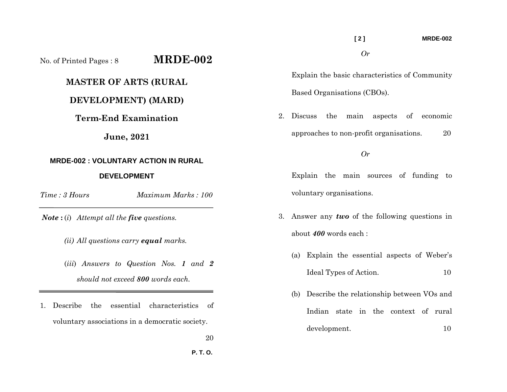## **[ 2 ] MRDE-002**  *Or*

Explain the basic characteristics of Community Based Organisations (CBOs).

2. Discuss the main aspects of economic approaches to non-profit organisations. 20

## *Or*

Explain the main sources of funding to voluntary organisations.

- 3. Answer any *two* of the following questions in about *400* words each :
	- (a) Explain the essential aspects of Weber's Ideal Types of Action. 10
	- (b) Describe the relationship between VOs and Indian state in the context of rural development. 10

**June, 2021 MRDE-002 : VOLUNTARY ACTION IN RURAL DEVELOPMENT** *Time : 3 HoursMaximum Marks : 100* 

No. of Printed Pages : 8 **MRDE-002**

**MASTER OF ARTS (RURAL** 

**DEVELOPMENT) (MARD)** 

**Term-End Examination** 

*Note* **:** (*i*) *Attempt all the five questions.* 

- *(ii) All questions carry equal marks.*
- (*iii*) *Answers to Question Nos. 1 and 2 should not exceed 800 words each.*
- 1. Describe the essential characteristics of voluntary associations in a democratic society.
	- 20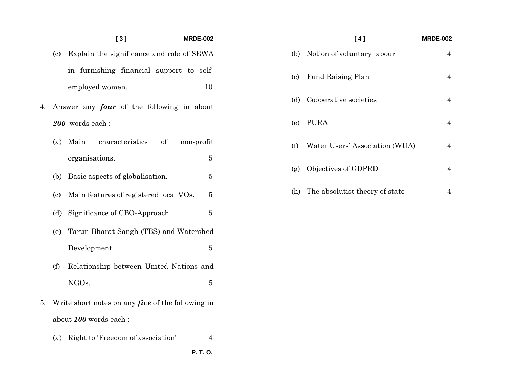## **[ 3 ] MRDE-002**

- (c) Explain the significance and role of SEWA in furnishing financial support to selfemployed women. 10
- 4. Answer any *four* of the following in about *200* words each :
	- (a) Main characteristics of non-profit organisations. 5
	- (b) Basic aspects of globalisation. 5
	- (c) Main features of registered local VOs. 5
	- (d) Significance of CBO-Approach. 5
	- (e) Tarun Bharat Sangh (TBS) and Watershed Development. 5
	- (f) Relationship between United Nations and NGOs.  $\bf 5$
- 5. Write short notes on any *five* of the following in about *100* words each :
	- (a) Right to 'Freedom of association' 4

 **P. T. O.** 

## **[ 4 ] MRDE-002**  (b) Notion of voluntary labour 4 (c) Fund Raising Plan 4 (d) Cooperative societies 4 (e) PURA 4 (f) Water Users' Association (WUA) 4 (g) Objectives of GDPRD 4 (h) The absolutist theory of state 4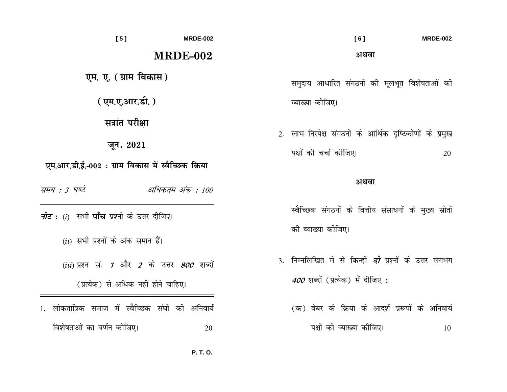| [5]                                                                                  | <b>MRDE-002</b>  |                                                                              | [6]<br><b>MRDE-002</b>                                                                             |  |
|--------------------------------------------------------------------------------------|------------------|------------------------------------------------------------------------------|----------------------------------------------------------------------------------------------------|--|
|                                                                                      | <b>MRDE-002</b>  |                                                                              | अथवा                                                                                               |  |
| एम. ए. (ग्राम विकास)                                                                 |                  |                                                                              | समुदाय आधारित संगठनों की मूलभूत विशेषताओं की                                                       |  |
| (एम.ए.आर.डी.)                                                                        |                  |                                                                              | व्याख्या कीजिए।                                                                                    |  |
| सत्रांत परीक्षा<br>जून, $2021$<br>एम.आर.डी.ई.-002 : ग्राम विकास में स्वैच्छिक क्रिया |                  |                                                                              | 2. लाभ-निरपेक्ष संगठनों के आर्थिक दृष्टिकोणों के प्रमुख<br>पक्षों की चर्चा कीजिए।<br>20            |  |
| समय : 3 घण्टे                                                                        | अधिकतम अंक : 100 |                                                                              | अथवा                                                                                               |  |
| <i>नोट</i> : (i)  सभी <b>पाँच</b> प्रश्नों के उत्तर दीजिए।                           |                  | स्वैच्छिक संगठनों के वित्तीय संसाधनों के मुख्य स्रोतों<br>की व्याख्या कीजिए। |                                                                                                    |  |
| $(ii)$ सभी प्रश्नों के अंक समान हैं।                                                 |                  |                                                                              |                                                                                                    |  |
| $(iii)$ प्रश्न सं. 1 और 2 के उत्तर 800 शब्दों<br>(प्रत्येक) से अधिक नहीं होने चाहिए। |                  |                                                                              | 3. निम्नलिखित में से किन्हीं <i>दो</i> प्रश्नों के उत्तर लगभग<br>400 शब्दों (प्रत्येक) में दीजिए : |  |
| लोकतांत्रिक समाज में स्वैच्छिक संघों की अनिवार्य                                     |                  |                                                                              | (क) वेबर के क्रिया के आदर्श प्ररूपों के अनिवार्य                                                   |  |
| विशेषताओं का वर्णन कीजिए।                                                            | 20               |                                                                              | पक्षों की व्याख्या कीजिए।<br>10                                                                    |  |